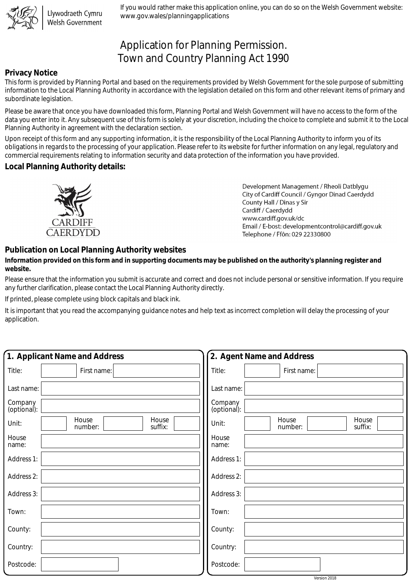

Llywodraeth Cymru Welsh Government

If you would rather make this application online, you can do so on the Welsh Government website: www.gov.wales/planningapplications

# Application for Planning Permission. Town and Country Planning Act 1990

## **Privacy Notice**

This form is provided by Planning Portal and based on the requirements provided by Welsh Government for the sole purpose of submitting information to the Local Planning Authority in accordance with the legislation detailed on this form and other relevant items of primary and subordinate legislation.

Please be aware that once you have downloaded this form, Planning Portal and Welsh Government will have no access to the form of the data you enter into it. Any subsequent use of this form is solely at your discretion, including the choice to complete and submit it to the Local Planning Authority in agreement with the declaration section.

Upon receipt of this form and any supporting information, it is the responsibility of the Local Planning Authority to inform you of its obligations in regards to the processing of your application. Please refer to its website for further information on any legal, regulatory and commercial requirements relating to information security and data protection of the information you have provided.

### **Local Planning Authority details:**



Development Management / Rheoli Datblygu City of Cardiff Council / Gyngor Dinad Caerdydd County Hall / Dinas y Sir Cardiff / Caerdydd www.cardiff.gov.uk/dc Email / E-bost: developmentcontrol@cardiff.gov.uk Telephone / Ffôn: 029 22330800

# **Publication on Local Planning Authority websites**

#### **Information provided on this form and in supporting documents may be published on the authority's planning register and website.**

Please ensure that the information you submit is accurate and correct and does not include personal or sensitive information. If you require any further clarification, please contact the Local Planning Authority directly.

If printed, please complete using block capitals and black ink.

It is important that you read the accompanying guidance notes and help text as incorrect completion will delay the processing of your application.

| 1. Applicant Name and Address                 | 2. Agent Name and Address                     |
|-----------------------------------------------|-----------------------------------------------|
| Title:<br>First name:                         | Title:<br>First name:                         |
| Last name:                                    | Last name:                                    |
| Company<br>(optional):                        | Company<br>(optional):                        |
| House<br>House<br>Unit:<br>suffix:<br>number: | House<br>House<br>Unit:<br>suffix:<br>number: |
| House<br>name:                                | House<br>name:                                |
| Address 1:                                    | Address 1:                                    |
| Address 2:                                    | Address 2:                                    |
| Address 3:                                    | Address 3:                                    |
| Town:                                         | Town:                                         |
| County:                                       | County:                                       |
| Country:                                      | Country:                                      |
| Postcode:                                     | Postcode:                                     |

Version 2018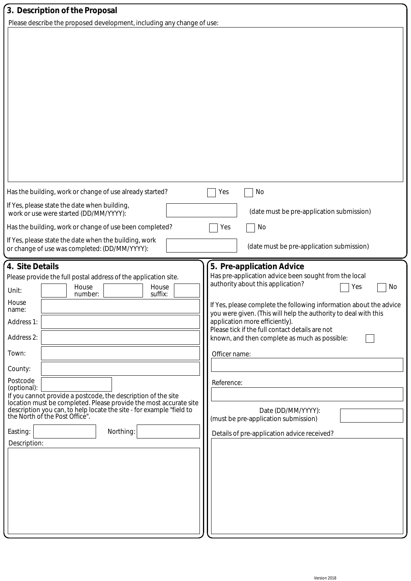| 3. Description of the Proposal                                                                                                                                                                                                                                                                                                                                                                                                                                                                                            |                                                                                                                                                                                                                                                                                                                                                                                                                                                                                                                                                                 |
|---------------------------------------------------------------------------------------------------------------------------------------------------------------------------------------------------------------------------------------------------------------------------------------------------------------------------------------------------------------------------------------------------------------------------------------------------------------------------------------------------------------------------|-----------------------------------------------------------------------------------------------------------------------------------------------------------------------------------------------------------------------------------------------------------------------------------------------------------------------------------------------------------------------------------------------------------------------------------------------------------------------------------------------------------------------------------------------------------------|
| Please describe the proposed development, including any change of use:                                                                                                                                                                                                                                                                                                                                                                                                                                                    |                                                                                                                                                                                                                                                                                                                                                                                                                                                                                                                                                                 |
|                                                                                                                                                                                                                                                                                                                                                                                                                                                                                                                           |                                                                                                                                                                                                                                                                                                                                                                                                                                                                                                                                                                 |
| Has the building, work or change of use already started?                                                                                                                                                                                                                                                                                                                                                                                                                                                                  | Yes<br>No                                                                                                                                                                                                                                                                                                                                                                                                                                                                                                                                                       |
| If Yes, please state the date when building,<br>work or use were started (DD/MM/YYYY):                                                                                                                                                                                                                                                                                                                                                                                                                                    | (date must be pre-application submission)                                                                                                                                                                                                                                                                                                                                                                                                                                                                                                                       |
| Has the building, work or change of use been completed?                                                                                                                                                                                                                                                                                                                                                                                                                                                                   | Yes<br>No                                                                                                                                                                                                                                                                                                                                                                                                                                                                                                                                                       |
| If Yes, please state the date when the building, work<br>or change of use was completed: (DD/MM/YYYY):                                                                                                                                                                                                                                                                                                                                                                                                                    | (date must be pre-application submission)                                                                                                                                                                                                                                                                                                                                                                                                                                                                                                                       |
| 4. Site Details<br>Please provide the full postal address of the application site.<br>House<br>House<br>Unit:<br>suffix:<br>number:<br>House<br>name:<br>Address 1:<br>Address 2:<br>Town:<br>County:<br>Postcode<br>(optional):<br>If you cannot provide a postcode, the description of the site<br>location must be completed. Please provide the most accurate site<br>description you can, to help locate the site - for example "field to<br>the North of the Post Office".<br>Northing:<br>Easting:<br>Description: | 5. Pre-application Advice<br>Has pre-application advice been sought from the local<br>authority about this application?<br>No<br>Yes<br>If Yes, please complete the following information about the advice<br>you were given. (This will help the authority to deal with this<br>application more efficiently).<br>Please tick if the full contact details are not<br>known, and then complete as much as possible:<br>Officer name:<br>Reference:<br>Date (DD/MM/YYYY):<br>(must be pre-application submission)<br>Details of pre-application advice received? |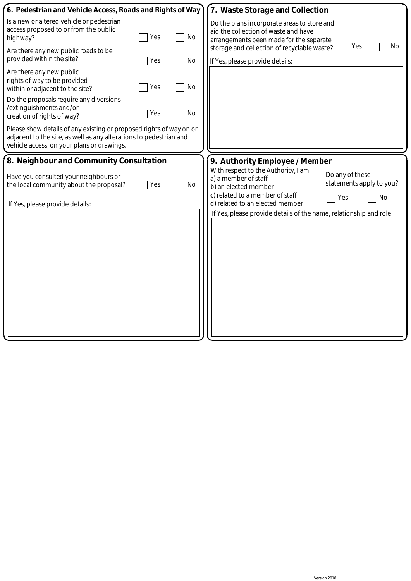| 6. Pedestrian and Vehicle Access, Roads and Rights of Way                                                                                                                                                                                                                                                                                                                                                                                                                                         | 7. Waste Storage and Collection                                                                                                                                                                                                                                                                                                      |
|---------------------------------------------------------------------------------------------------------------------------------------------------------------------------------------------------------------------------------------------------------------------------------------------------------------------------------------------------------------------------------------------------------------------------------------------------------------------------------------------------|--------------------------------------------------------------------------------------------------------------------------------------------------------------------------------------------------------------------------------------------------------------------------------------------------------------------------------------|
| Is a new or altered vehicle or pedestrian<br>access proposed to or from the public<br>No<br>Yes<br>highway?<br>Are there any new public roads to be<br>provided within the site?<br>No<br>Yes<br>Are there any new public<br>rights of way to be provided<br>No<br>Yes<br>within or adjacent to the site?<br>Do the proposals require any diversions<br>/extinguishments and/or<br>No<br>Yes<br>creation of rights of way?<br>Please show details of any existing or proposed rights of way on or | Do the plans incorporate areas to store and<br>aid the collection of waste and have<br>arrangements been made for the separate<br>No<br>Yes<br>storage and cellection of recyclable waste?<br>If Yes, please provide details:                                                                                                        |
| adjacent to the site, as well as any alterations to pedestrian and<br>vehicle access, on your plans or drawings.                                                                                                                                                                                                                                                                                                                                                                                  |                                                                                                                                                                                                                                                                                                                                      |
| 8. Neighbour and Community Consultation<br>Have you consulted your neighbours or<br>No<br>Yes<br>the local community about the proposal?<br>If Yes, please provide details:                                                                                                                                                                                                                                                                                                                       | 9. Authority Employee / Member<br>With respect to the Authority, I am:<br>Do any of these<br>a) a member of staff<br>statements apply to you?<br>b) an elected member<br>c) related to a member of staff<br><b>No</b><br>Yes<br>d) related to an elected member<br>If Yes, please provide details of the name, relationship and role |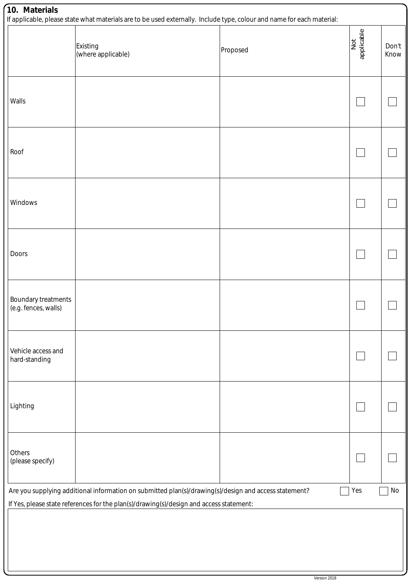| 10. Materials                               | If applicable, please state what materials are to be used externally. Include type, colour and name for each material:                                                                           |          |                   |               |
|---------------------------------------------|--------------------------------------------------------------------------------------------------------------------------------------------------------------------------------------------------|----------|-------------------|---------------|
|                                             | <b>Existing</b><br>(where applicable)                                                                                                                                                            | Proposed | Not<br>applicable | Don't<br>Know |
| Walls                                       |                                                                                                                                                                                                  |          |                   |               |
| Roof                                        |                                                                                                                                                                                                  |          |                   |               |
| Windows                                     |                                                                                                                                                                                                  |          |                   |               |
| Doors                                       |                                                                                                                                                                                                  |          |                   |               |
| Boundary treatments<br>(e.g. fences, walls) |                                                                                                                                                                                                  |          |                   |               |
| Vehicle access and<br>hard-standing         |                                                                                                                                                                                                  |          |                   |               |
| Lighting                                    |                                                                                                                                                                                                  |          |                   |               |
| Others<br>(please specify)                  |                                                                                                                                                                                                  |          |                   |               |
|                                             | Are you supplying additional information on submitted plan(s)/drawing(s)/design and access statement?<br>If Yes, please state references for the plan(s)/drawing(s)/design and access statement: |          | Yes               | No            |
|                                             |                                                                                                                                                                                                  |          |                   |               |

IJ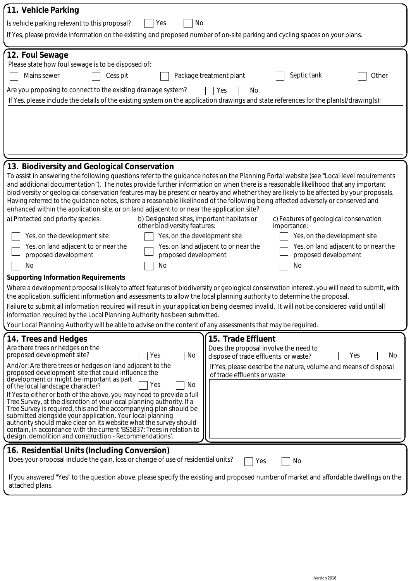| 11. Vehicle Parking                                                                                                                                                                                                                                                                                                                                                                                                                                                                                                                                                                                                                                                                                                                                                                                                |                                                                                                                                                                                                                     |  |  |  |  |  |
|--------------------------------------------------------------------------------------------------------------------------------------------------------------------------------------------------------------------------------------------------------------------------------------------------------------------------------------------------------------------------------------------------------------------------------------------------------------------------------------------------------------------------------------------------------------------------------------------------------------------------------------------------------------------------------------------------------------------------------------------------------------------------------------------------------------------|---------------------------------------------------------------------------------------------------------------------------------------------------------------------------------------------------------------------|--|--|--|--|--|
| Yes<br>No<br>Is vehicle parking relevant to this proposal?                                                                                                                                                                                                                                                                                                                                                                                                                                                                                                                                                                                                                                                                                                                                                         |                                                                                                                                                                                                                     |  |  |  |  |  |
| If Yes, please provide information on the existing and proposed number of on-site parking and cycling spaces on your plans.                                                                                                                                                                                                                                                                                                                                                                                                                                                                                                                                                                                                                                                                                        |                                                                                                                                                                                                                     |  |  |  |  |  |
| 12. Foul Sewage<br>Please state how foul sewage is to be disposed of:<br>Septic tank<br>Mains sewer<br>Package treatment plant<br>Other<br>Cess pit<br>Are you proposing to connect to the existing drainage system?<br>Yes<br>No<br>If Yes, please include the details of the existing system on the application drawings and state references for the plan(s)/drawing(s):                                                                                                                                                                                                                                                                                                                                                                                                                                        |                                                                                                                                                                                                                     |  |  |  |  |  |
|                                                                                                                                                                                                                                                                                                                                                                                                                                                                                                                                                                                                                                                                                                                                                                                                                    |                                                                                                                                                                                                                     |  |  |  |  |  |
| 13. Biodiversity and Geological Conservation                                                                                                                                                                                                                                                                                                                                                                                                                                                                                                                                                                                                                                                                                                                                                                       |                                                                                                                                                                                                                     |  |  |  |  |  |
| To assist in answering the following questions refer to the guidance notes on the Planning Portal website (see "Local level requirements<br>and additional documentation"). The notes provide further information on when there is a reasonable likelihood that any important<br>biodiversity or geological conservation features may be present or nearby and whether they are likely to be affected by your proposals.<br>Having referred to the guidance notes, is there a reasonable likelihood of the following being affected adversely or conserved and<br>enhanced within the application site, or on land adjacent to or near the application site?                                                                                                                                                       |                                                                                                                                                                                                                     |  |  |  |  |  |
| a) Protected and priority species:<br>b) Designated sites, important habitats or<br>other biodiversity features:                                                                                                                                                                                                                                                                                                                                                                                                                                                                                                                                                                                                                                                                                                   | c) Features of geological conservation<br>importance:                                                                                                                                                               |  |  |  |  |  |
| Yes, on the development site<br>Yes, on the development site                                                                                                                                                                                                                                                                                                                                                                                                                                                                                                                                                                                                                                                                                                                                                       | Yes, on the development site                                                                                                                                                                                        |  |  |  |  |  |
| Yes, on land adjacent to or near the<br>proposed development<br>proposed development                                                                                                                                                                                                                                                                                                                                                                                                                                                                                                                                                                                                                                                                                                                               | Yes, on land adjacent to or near the<br>Yes, on land adjacent to or near the<br>proposed development                                                                                                                |  |  |  |  |  |
| No<br>No                                                                                                                                                                                                                                                                                                                                                                                                                                                                                                                                                                                                                                                                                                                                                                                                           | No                                                                                                                                                                                                                  |  |  |  |  |  |
| <b>Supporting Information Requirements</b>                                                                                                                                                                                                                                                                                                                                                                                                                                                                                                                                                                                                                                                                                                                                                                         |                                                                                                                                                                                                                     |  |  |  |  |  |
| Where a development proposal is likely to affect features of biodiversity or geological conservation interest, you will need to submit, with<br>the application, sufficient information and assessments to allow the local planning authority to determine the proposal.                                                                                                                                                                                                                                                                                                                                                                                                                                                                                                                                           |                                                                                                                                                                                                                     |  |  |  |  |  |
| Failure to submit all information required will result in your application being deemed invalid. It will not be considered valid until all<br>information required by the Local Planning Authority has been submitted.                                                                                                                                                                                                                                                                                                                                                                                                                                                                                                                                                                                             |                                                                                                                                                                                                                     |  |  |  |  |  |
| Your Local Planning Authority will be able to advise on the content of any assessments that may be required.                                                                                                                                                                                                                                                                                                                                                                                                                                                                                                                                                                                                                                                                                                       |                                                                                                                                                                                                                     |  |  |  |  |  |
| 14. Trees and Hedges<br>Are there trees or hedges on the<br>proposed development site?<br>No<br>Yes<br>And/or: Are there trees or hedges on land adjacent to the<br>proposed development site that could influence the<br>development or might be important as part<br>No<br>Yes<br>of the local landscape character?<br>If Yes to either or both of the above, you may need to provide a full<br>Tree Survey, at the discretion of your local planning authority. If a<br>Tree Survey is required, this and the accompanying plan should be<br>submitted alongside your application. Your local planning<br>authority should make clear on its website what the survey should<br>contain, in accordance with the current 'BS5837: Trees in relation to<br>design, demolition and construction - Recommendations'. | 15. Trade Effluent<br>Does the proposal involve the need to<br>No<br>dispose of trade effluents or waste?<br>Yes<br>If Yes, please describe the nature, volume and means of disposal<br>of trade effluents or waste |  |  |  |  |  |
| 16. Residential Units (Including Conversion)<br>Does your proposal include the gain, loss or change of use of residential units?<br>attached plans.                                                                                                                                                                                                                                                                                                                                                                                                                                                                                                                                                                                                                                                                | No<br>Yes<br>If you answered "Yes" to the question above, please specify the existing and proposed number of market and affordable dwellings on the                                                                 |  |  |  |  |  |
|                                                                                                                                                                                                                                                                                                                                                                                                                                                                                                                                                                                                                                                                                                                                                                                                                    |                                                                                                                                                                                                                     |  |  |  |  |  |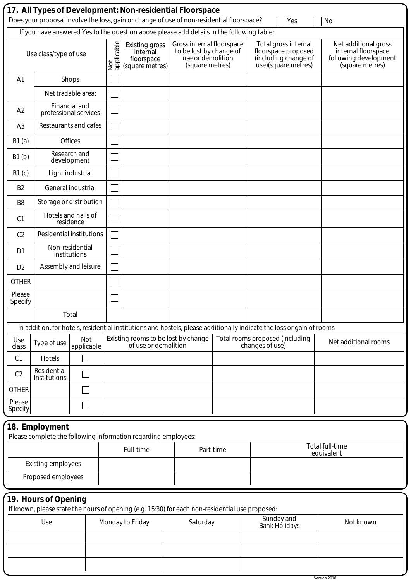|                                                                                                                         |                                                                                                                                                                                        |                                        |                   |                                                                | 17. All Types of Development: Non-residential Floorspace                                                              |           |                 | Yes                                                                                        | No                                                                                      |
|-------------------------------------------------------------------------------------------------------------------------|----------------------------------------------------------------------------------------------------------------------------------------------------------------------------------------|----------------------------------------|-------------------|----------------------------------------------------------------|-----------------------------------------------------------------------------------------------------------------------|-----------|-----------------|--------------------------------------------------------------------------------------------|-----------------------------------------------------------------------------------------|
|                                                                                                                         | Does your proposal involve the loss, gain or change of use of non-residential floorspace?<br>If you have answered Yes to the question above please add details in the following table: |                                        |                   |                                                                |                                                                                                                       |           |                 |                                                                                            |                                                                                         |
|                                                                                                                         | Use class/type of use                                                                                                                                                                  |                                        | applicable<br>Not | Existing gross<br>internal<br>floorspace<br>(square metres)    | Gross internal floorspace<br>to be lost by change of<br>use or demolition<br>(square metres)                          |           |                 | Total gross internal<br>floorspace proposed<br>(including change of<br>use)(square metres) | Net additional gross<br>internal floorspace<br>following development<br>(square metres) |
| A <sub>1</sub>                                                                                                          |                                                                                                                                                                                        | Shops                                  |                   |                                                                |                                                                                                                       |           |                 |                                                                                            |                                                                                         |
|                                                                                                                         |                                                                                                                                                                                        | Net tradable area:                     |                   |                                                                |                                                                                                                       |           |                 |                                                                                            |                                                                                         |
| A2                                                                                                                      |                                                                                                                                                                                        | Financial and<br>professional services |                   |                                                                |                                                                                                                       |           |                 |                                                                                            |                                                                                         |
| A3                                                                                                                      |                                                                                                                                                                                        | Restaurants and cafes                  |                   |                                                                |                                                                                                                       |           |                 |                                                                                            |                                                                                         |
| B1(a)                                                                                                                   |                                                                                                                                                                                        | <b>Offices</b>                         |                   |                                                                |                                                                                                                       |           |                 |                                                                                            |                                                                                         |
| B1(b)                                                                                                                   |                                                                                                                                                                                        | Research and<br>development            |                   |                                                                |                                                                                                                       |           |                 |                                                                                            |                                                                                         |
| B1(c)                                                                                                                   |                                                                                                                                                                                        | Light industrial                       |                   |                                                                |                                                                                                                       |           |                 |                                                                                            |                                                                                         |
| B <sub>2</sub>                                                                                                          |                                                                                                                                                                                        | General industrial                     |                   |                                                                |                                                                                                                       |           |                 |                                                                                            |                                                                                         |
| B <sub>8</sub>                                                                                                          |                                                                                                                                                                                        | Storage or distribution                |                   |                                                                |                                                                                                                       |           |                 |                                                                                            |                                                                                         |
| C <sub>1</sub>                                                                                                          |                                                                                                                                                                                        | Hotels and halls of<br>residence       |                   |                                                                |                                                                                                                       |           |                 |                                                                                            |                                                                                         |
| C <sub>2</sub>                                                                                                          |                                                                                                                                                                                        | <b>Residential institutions</b>        |                   |                                                                |                                                                                                                       |           |                 |                                                                                            |                                                                                         |
| D <sub>1</sub>                                                                                                          |                                                                                                                                                                                        | Non-residential<br>institutions        |                   |                                                                |                                                                                                                       |           |                 |                                                                                            |                                                                                         |
| D <sub>2</sub>                                                                                                          |                                                                                                                                                                                        | Assembly and leisure                   |                   |                                                                |                                                                                                                       |           |                 |                                                                                            |                                                                                         |
| <b>OTHER</b>                                                                                                            |                                                                                                                                                                                        |                                        |                   |                                                                |                                                                                                                       |           |                 |                                                                                            |                                                                                         |
| Please<br>Specify                                                                                                       |                                                                                                                                                                                        |                                        |                   |                                                                |                                                                                                                       |           |                 |                                                                                            |                                                                                         |
|                                                                                                                         |                                                                                                                                                                                        | Total                                  |                   |                                                                |                                                                                                                       |           |                 |                                                                                            |                                                                                         |
|                                                                                                                         |                                                                                                                                                                                        |                                        |                   |                                                                | In addition, for hotels, residential institutions and hostels, please additionally indicate the loss or gain of rooms |           |                 |                                                                                            |                                                                                         |
| Use<br>class                                                                                                            | Type of use                                                                                                                                                                            | Not<br>applicable                      |                   | of use or demolition                                           | Existing rooms to be lost by change                                                                                   |           | changes of use) | Total rooms proposed (including                                                            | Net additional rooms                                                                    |
| C1                                                                                                                      | Hotels                                                                                                                                                                                 |                                        |                   |                                                                |                                                                                                                       |           |                 |                                                                                            |                                                                                         |
| C <sub>2</sub>                                                                                                          | Residential<br>Institutions                                                                                                                                                            |                                        |                   |                                                                |                                                                                                                       |           |                 |                                                                                            |                                                                                         |
| <b>OTHER</b>                                                                                                            |                                                                                                                                                                                        |                                        |                   |                                                                |                                                                                                                       |           |                 |                                                                                            |                                                                                         |
| Please<br>Specify                                                                                                       |                                                                                                                                                                                        |                                        |                   |                                                                |                                                                                                                       |           |                 |                                                                                            |                                                                                         |
|                                                                                                                         | 18. Employment                                                                                                                                                                         |                                        |                   |                                                                |                                                                                                                       |           |                 |                                                                                            |                                                                                         |
|                                                                                                                         |                                                                                                                                                                                        |                                        |                   | Please complete the following information regarding employees: |                                                                                                                       |           |                 |                                                                                            | Total full-time                                                                         |
|                                                                                                                         |                                                                                                                                                                                        |                                        | Full-time         |                                                                |                                                                                                                       | Part-time |                 |                                                                                            | equivalent                                                                              |
|                                                                                                                         | <b>Existing employees</b>                                                                                                                                                              |                                        |                   |                                                                |                                                                                                                       |           |                 |                                                                                            |                                                                                         |
| Proposed employees                                                                                                      |                                                                                                                                                                                        |                                        |                   |                                                                |                                                                                                                       |           |                 |                                                                                            |                                                                                         |
| 19. Hours of Opening<br>If known, please state the hours of opening (e.g. 15:30) for each non-residential use proposed: |                                                                                                                                                                                        |                                        |                   |                                                                |                                                                                                                       |           |                 |                                                                                            |                                                                                         |
|                                                                                                                         | Use                                                                                                                                                                                    |                                        |                   | Monday to Friday                                               | Saturday                                                                                                              |           |                 | Sunday and<br><b>Bank Holidays</b>                                                         | Not known                                                                               |
|                                                                                                                         |                                                                                                                                                                                        |                                        |                   |                                                                |                                                                                                                       |           |                 |                                                                                            |                                                                                         |
|                                                                                                                         |                                                                                                                                                                                        |                                        |                   |                                                                |                                                                                                                       |           |                 |                                                                                            |                                                                                         |
|                                                                                                                         |                                                                                                                                                                                        |                                        |                   |                                                                |                                                                                                                       |           |                 |                                                                                            |                                                                                         |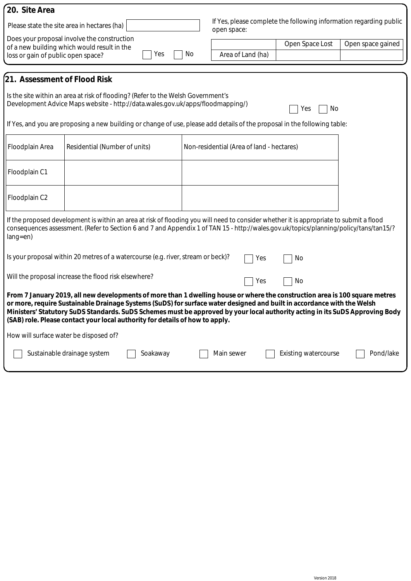| 20. Site Area                                                                                                                                                                                                                                                                                    |                                                                                                                                                                                                                                                                                                                                                                                                                                                                       |          |     |                                           |                                                                    |                   |
|--------------------------------------------------------------------------------------------------------------------------------------------------------------------------------------------------------------------------------------------------------------------------------------------------|-----------------------------------------------------------------------------------------------------------------------------------------------------------------------------------------------------------------------------------------------------------------------------------------------------------------------------------------------------------------------------------------------------------------------------------------------------------------------|----------|-----|-------------------------------------------|--------------------------------------------------------------------|-------------------|
|                                                                                                                                                                                                                                                                                                  | Please state the site area in hectares (ha)                                                                                                                                                                                                                                                                                                                                                                                                                           |          |     | open space:                               | If Yes, please complete the following information regarding public |                   |
| loss or gain of public open space?                                                                                                                                                                                                                                                               | Does your proposal involve the construction<br>of a new building which would result in the                                                                                                                                                                                                                                                                                                                                                                            | Yes      | No. | Area of Land (ha)                         | Open Space Lost                                                    | Open space gained |
| 21. Assessment of Flood Risk                                                                                                                                                                                                                                                                     |                                                                                                                                                                                                                                                                                                                                                                                                                                                                       |          |     |                                           |                                                                    |                   |
|                                                                                                                                                                                                                                                                                                  | Is the site within an area at risk of flooding? (Refer to the Welsh Government's<br>Development Advice Maps website - http://data.wales.gov.uk/apps/floodmapping/)                                                                                                                                                                                                                                                                                                    |          |     |                                           | No<br>Yes                                                          |                   |
|                                                                                                                                                                                                                                                                                                  | If Yes, and you are proposing a new building or change of use, please add details of the proposal in the following table:                                                                                                                                                                                                                                                                                                                                             |          |     |                                           |                                                                    |                   |
| Floodplain Area                                                                                                                                                                                                                                                                                  | Residential (Number of units)                                                                                                                                                                                                                                                                                                                                                                                                                                         |          |     | Non-residential (Area of land - hectares) |                                                                    |                   |
| Floodplain C1                                                                                                                                                                                                                                                                                    |                                                                                                                                                                                                                                                                                                                                                                                                                                                                       |          |     |                                           |                                                                    |                   |
| Floodplain C2                                                                                                                                                                                                                                                                                    |                                                                                                                                                                                                                                                                                                                                                                                                                                                                       |          |     |                                           |                                                                    |                   |
| If the proposed development is within an area at risk of flooding you will need to consider whether it is appropriate to submit a flood<br>consequences assessment. (Refer to Section 6 and 7 and Appendix 1 of TAN 15 - http://wales.gov.uk/topics/planning/policy/tans/tan15/?<br>$lang = en)$ |                                                                                                                                                                                                                                                                                                                                                                                                                                                                       |          |     |                                           |                                                                    |                   |
|                                                                                                                                                                                                                                                                                                  | Is your proposal within 20 metres of a watercourse (e.g. river, stream or beck)?                                                                                                                                                                                                                                                                                                                                                                                      |          |     | Yes                                       | No                                                                 |                   |
|                                                                                                                                                                                                                                                                                                  | Will the proposal increase the flood risk elsewhere?                                                                                                                                                                                                                                                                                                                                                                                                                  |          |     | Yes                                       | No                                                                 |                   |
|                                                                                                                                                                                                                                                                                                  | From 7 January 2019, all new developments of more than 1 dwelling house or where the construction area is 100 square metres<br>or more, require Sustainable Drainage Systems (SuDS) for surface water designed and built in accordance with the Welsh<br>Ministers' Statutory SuDS Standards. SuDS Schemes must be approved by your local authority acting in its SuDS Approving Body<br>(SAB) role. Please contact your local authority for details of how to apply. |          |     |                                           |                                                                    |                   |
| How will surface water be disposed of?                                                                                                                                                                                                                                                           |                                                                                                                                                                                                                                                                                                                                                                                                                                                                       |          |     |                                           |                                                                    |                   |
|                                                                                                                                                                                                                                                                                                  | Sustainable drainage system                                                                                                                                                                                                                                                                                                                                                                                                                                           | Soakaway |     | Main sewer                                | <b>Existing watercourse</b>                                        | Pond/lake         |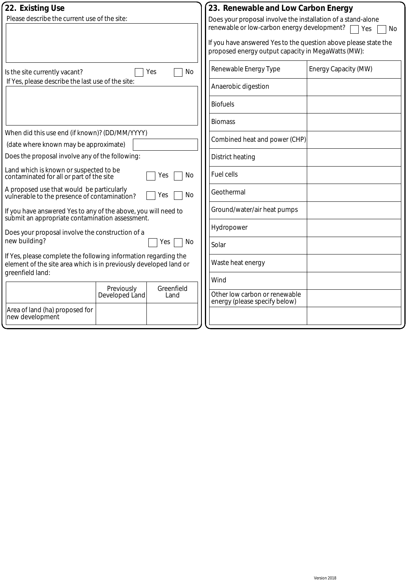| 22. Existing Use                                                                                                                     |                              |                    |  | 23. Renewable and Low Carbon Energy                                                                                   |                      |  |
|--------------------------------------------------------------------------------------------------------------------------------------|------------------------------|--------------------|--|-----------------------------------------------------------------------------------------------------------------------|----------------------|--|
| Please describe the current use of the site:                                                                                         |                              |                    |  | Does your proposal involve the installation of a stand-alone<br>renewable or low-carbon energy development?           |                      |  |
|                                                                                                                                      |                              |                    |  |                                                                                                                       | Yes<br>No            |  |
|                                                                                                                                      |                              |                    |  | If you have answered Yes to the question above please state the<br>proposed energy output capacity in MegaWatts (MW): |                      |  |
| Is the site currently vacant?                                                                                                        |                              | Yes<br>No          |  | Renewable Energy Type                                                                                                 | Energy Capacity (MW) |  |
| If Yes, please describe the last use of the site:                                                                                    |                              |                    |  | Anaerobic digestion                                                                                                   |                      |  |
|                                                                                                                                      |                              |                    |  | <b>Biofuels</b>                                                                                                       |                      |  |
|                                                                                                                                      |                              |                    |  | <b>Biomass</b>                                                                                                        |                      |  |
| When did this use end (if known)? (DD/MM/YYYY)                                                                                       |                              |                    |  | Combined heat and power (CHP)                                                                                         |                      |  |
| (date where known may be approximate)                                                                                                |                              |                    |  |                                                                                                                       |                      |  |
| Does the proposal involve any of the following:                                                                                      |                              |                    |  | <b>District heating</b>                                                                                               |                      |  |
| Land which is known or suspected to be<br>No<br>contaminated for all or part of the site<br>Yes                                      |                              |                    |  | <b>Fuel cells</b>                                                                                                     |                      |  |
| A proposed use that would be particularly<br>vulnerable to the presence of contamination?                                            |                              | No<br>Yes          |  | Geothermal                                                                                                            |                      |  |
| If you have answered Yes to any of the above, you will need to<br>submit an appropriate contamination assessment.                    |                              |                    |  | Ground/water/air heat pumps                                                                                           |                      |  |
| Does your proposal involve the construction of a                                                                                     |                              |                    |  | Hydropower                                                                                                            |                      |  |
| new building?                                                                                                                        |                              | No<br>Yes          |  | Solar                                                                                                                 |                      |  |
| If Yes, please complete the following information regarding the<br>element of the site area which is in previously developed land or |                              |                    |  | Waste heat energy                                                                                                     |                      |  |
| greenfield land:                                                                                                                     |                              |                    |  | Wind                                                                                                                  |                      |  |
|                                                                                                                                      | Previously<br>Developed Land | Greenfield<br>Land |  | Other low carbon or renewable                                                                                         |                      |  |
| Area of land (ha) proposed for<br>new development                                                                                    |                              |                    |  | energy (please specify below)                                                                                         |                      |  |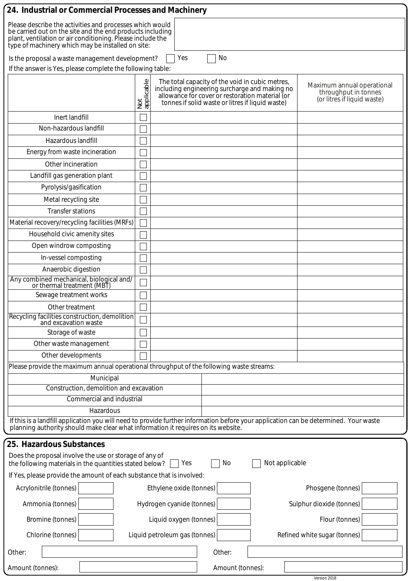| 24. Industrial or Commercial Processes and Machinery                                                                                                                                                                                     |                   |                                                                                                                                                                                                         |                                                                                   |  |  |
|------------------------------------------------------------------------------------------------------------------------------------------------------------------------------------------------------------------------------------------|-------------------|---------------------------------------------------------------------------------------------------------------------------------------------------------------------------------------------------------|-----------------------------------------------------------------------------------|--|--|
| Please describe the activities and processes which would<br>be carried out on the site and the end products including<br>plant, ventilation or air conditioning. Please include the<br>type of machinery which may be installed on site: |                   |                                                                                                                                                                                                         |                                                                                   |  |  |
| Is the proposal a waste management development?                                                                                                                                                                                          |                   | No<br>Yes                                                                                                                                                                                               |                                                                                   |  |  |
| If the answer is Yes, please complete the following table:                                                                                                                                                                               |                   |                                                                                                                                                                                                         |                                                                                   |  |  |
|                                                                                                                                                                                                                                          | Not<br>applicable | The total capacity of the void in cubic metres,<br>including engineering surcharge and making no<br>allowance for cover or restoration material (or<br>tonnes if solid waste or litres if liquid waste) | Maximum annual operational<br>throughput in tonnes<br>(or litres if liquid waste) |  |  |
| Inert landfill                                                                                                                                                                                                                           |                   |                                                                                                                                                                                                         |                                                                                   |  |  |
| Non-hazardous landfill                                                                                                                                                                                                                   |                   |                                                                                                                                                                                                         |                                                                                   |  |  |
| Hazardous landfill                                                                                                                                                                                                                       |                   |                                                                                                                                                                                                         |                                                                                   |  |  |
| Energy from waste incineration                                                                                                                                                                                                           |                   |                                                                                                                                                                                                         |                                                                                   |  |  |
| Other incineration                                                                                                                                                                                                                       |                   |                                                                                                                                                                                                         |                                                                                   |  |  |
| Landfill gas generation plant                                                                                                                                                                                                            |                   |                                                                                                                                                                                                         |                                                                                   |  |  |
| Pyrolysis/gasification                                                                                                                                                                                                                   |                   |                                                                                                                                                                                                         |                                                                                   |  |  |
| Metal recycling site                                                                                                                                                                                                                     |                   |                                                                                                                                                                                                         |                                                                                   |  |  |
| <b>Transfer stations</b>                                                                                                                                                                                                                 |                   |                                                                                                                                                                                                         |                                                                                   |  |  |
| Material recovery/recycling facilities (MRFs)                                                                                                                                                                                            |                   |                                                                                                                                                                                                         |                                                                                   |  |  |
| Household civic amenity sites                                                                                                                                                                                                            |                   |                                                                                                                                                                                                         |                                                                                   |  |  |
| Open windrow composting                                                                                                                                                                                                                  |                   |                                                                                                                                                                                                         |                                                                                   |  |  |
| In-vessel composting                                                                                                                                                                                                                     |                   |                                                                                                                                                                                                         |                                                                                   |  |  |
| Anaerobic digestion                                                                                                                                                                                                                      |                   |                                                                                                                                                                                                         |                                                                                   |  |  |
| Any combined mechanical, biological and/<br>or thermal treatment (MBT)                                                                                                                                                                   |                   |                                                                                                                                                                                                         |                                                                                   |  |  |
| Sewage treatment works                                                                                                                                                                                                                   |                   |                                                                                                                                                                                                         |                                                                                   |  |  |
| Other treatment                                                                                                                                                                                                                          |                   |                                                                                                                                                                                                         |                                                                                   |  |  |
| Recycling facilities construction, demolition<br>and excavation waste                                                                                                                                                                    |                   |                                                                                                                                                                                                         |                                                                                   |  |  |
| Storage of waste                                                                                                                                                                                                                         |                   |                                                                                                                                                                                                         |                                                                                   |  |  |
| Other waste management                                                                                                                                                                                                                   |                   |                                                                                                                                                                                                         |                                                                                   |  |  |
| Other developments                                                                                                                                                                                                                       |                   |                                                                                                                                                                                                         |                                                                                   |  |  |
| Please provide the maximum annual operational throughput of the following waste streams:                                                                                                                                                 |                   |                                                                                                                                                                                                         |                                                                                   |  |  |
| Municipal                                                                                                                                                                                                                                |                   |                                                                                                                                                                                                         |                                                                                   |  |  |
| Construction, demolition and excavation                                                                                                                                                                                                  |                   |                                                                                                                                                                                                         |                                                                                   |  |  |
| Commercial and industrial                                                                                                                                                                                                                |                   |                                                                                                                                                                                                         |                                                                                   |  |  |
| Hazardous<br>If this is a landfill application you will need to provide further information before your application can be determined. Your waste<br>planning authority should make clear what information it requires on its website.   |                   |                                                                                                                                                                                                         |                                                                                   |  |  |
| 25. Hazardous Substances                                                                                                                                                                                                                 |                   |                                                                                                                                                                                                         |                                                                                   |  |  |
| Does the proposal involve the use or storage of any of<br>the following materials in the quantities stated below?                                                                                                                        |                   | Not applicable<br>No<br>Yes                                                                                                                                                                             |                                                                                   |  |  |
| If Yes, please provide the amount of each substance that is involved:                                                                                                                                                                    |                   |                                                                                                                                                                                                         |                                                                                   |  |  |
| Acrylonitrile (tonnes)<br>Phosgene (tonnes)<br>Ethylene oxide (tonnes)                                                                                                                                                                   |                   |                                                                                                                                                                                                         |                                                                                   |  |  |
| Ammonia (tonnes)                                                                                                                                                                                                                         |                   | Hydrogen cyanide (tonnes)                                                                                                                                                                               | Sulphur dioxide (tonnes)                                                          |  |  |
| Bromine (tonnes)                                                                                                                                                                                                                         |                   | Liquid oxygen (tonnes)                                                                                                                                                                                  | Flour (tonnes)                                                                    |  |  |
| Chlorine (tonnes)                                                                                                                                                                                                                        |                   | Liquid petroleum gas (tonnes)                                                                                                                                                                           | Refined white sugar (tonnes)                                                      |  |  |
| Other:                                                                                                                                                                                                                                   |                   | Other:                                                                                                                                                                                                  |                                                                                   |  |  |
| Amount (tonnes):                                                                                                                                                                                                                         |                   | Amount (tonnes):                                                                                                                                                                                        |                                                                                   |  |  |
|                                                                                                                                                                                                                                          |                   |                                                                                                                                                                                                         | Version 2018                                                                      |  |  |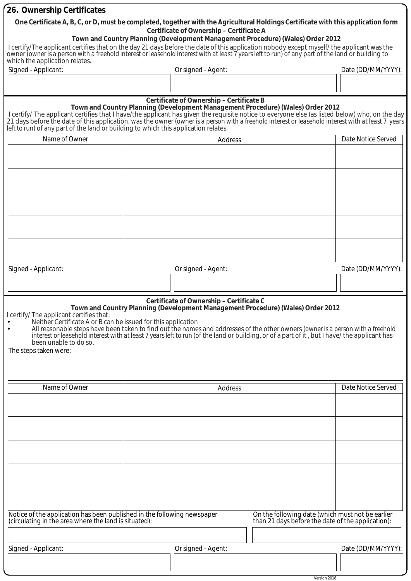| 26. Ownership Certificates                                                                                                                                                                                                                                                                                                                                                              |                       |                                          |                                                                                                       |                    |  |  |
|-----------------------------------------------------------------------------------------------------------------------------------------------------------------------------------------------------------------------------------------------------------------------------------------------------------------------------------------------------------------------------------------|-----------------------|------------------------------------------|-------------------------------------------------------------------------------------------------------|--------------------|--|--|
| One Certificate A, B, C, or D, must be completed, together with the Agricultural Holdings Certificate with this application form                                                                                                                                                                                                                                                        |                       |                                          |                                                                                                       |                    |  |  |
|                                                                                                                                                                                                                                                                                                                                                                                         |                       | Certificate of Ownership - Certificate A | Town and Country Planning (Development Management Procedure) (Wales) Order 2012                       |                    |  |  |
| I certify/The applicant certifies that on the day 21 days before the date of this application nobody except myself/ the applicant was the<br>owner <i>(owner is a person with a freehold interest or leasehold interest with at least 7 years left to run)</i> of any part of the land or building to                                                                                   |                       |                                          |                                                                                                       |                    |  |  |
| which the application relates.                                                                                                                                                                                                                                                                                                                                                          |                       |                                          |                                                                                                       |                    |  |  |
| Signed - Applicant:                                                                                                                                                                                                                                                                                                                                                                     |                       | Or signed - Agent:                       |                                                                                                       | Date (DD/MM/YYYY): |  |  |
|                                                                                                                                                                                                                                                                                                                                                                                         |                       |                                          |                                                                                                       |                    |  |  |
|                                                                                                                                                                                                                                                                                                                                                                                         |                       | Certificate of Ownership - Certificate B |                                                                                                       |                    |  |  |
| Town and Country Planning (Development Management Procedure) (Wales) Order 2012<br>I certify/ The applicant certifies that I have/the applicant has given the requisite notice to everyone else (as listed below) who, on the day<br>21 days before the date of this application, was the owner (owner is a person with a freehold interest or leasehold interest with at least 7 years |                       |                                          |                                                                                                       |                    |  |  |
| left to run) of any part of the land or building to which this application relates.                                                                                                                                                                                                                                                                                                     |                       |                                          |                                                                                                       |                    |  |  |
| Name of Owner                                                                                                                                                                                                                                                                                                                                                                           |                       | Date Notice Served                       |                                                                                                       |                    |  |  |
|                                                                                                                                                                                                                                                                                                                                                                                         |                       |                                          |                                                                                                       |                    |  |  |
|                                                                                                                                                                                                                                                                                                                                                                                         |                       |                                          |                                                                                                       |                    |  |  |
|                                                                                                                                                                                                                                                                                                                                                                                         |                       |                                          |                                                                                                       |                    |  |  |
|                                                                                                                                                                                                                                                                                                                                                                                         |                       |                                          |                                                                                                       |                    |  |  |
|                                                                                                                                                                                                                                                                                                                                                                                         |                       |                                          |                                                                                                       |                    |  |  |
|                                                                                                                                                                                                                                                                                                                                                                                         |                       |                                          |                                                                                                       |                    |  |  |
|                                                                                                                                                                                                                                                                                                                                                                                         |                       |                                          |                                                                                                       |                    |  |  |
|                                                                                                                                                                                                                                                                                                                                                                                         |                       |                                          |                                                                                                       |                    |  |  |
|                                                                                                                                                                                                                                                                                                                                                                                         |                       |                                          |                                                                                                       |                    |  |  |
|                                                                                                                                                                                                                                                                                                                                                                                         |                       |                                          |                                                                                                       |                    |  |  |
| Signed - Applicant:                                                                                                                                                                                                                                                                                                                                                                     |                       | Or signed - Agent:                       |                                                                                                       | Date (DD/MM/YYYY): |  |  |
|                                                                                                                                                                                                                                                                                                                                                                                         |                       |                                          |                                                                                                       |                    |  |  |
|                                                                                                                                                                                                                                                                                                                                                                                         |                       | Certificate of Ownership - Certificate C |                                                                                                       |                    |  |  |
| certify/ The applicant certifies that:                                                                                                                                                                                                                                                                                                                                                  |                       |                                          | Town and Country Planning (Development Management Procedure) (Wales) Order 2012                       |                    |  |  |
| Neither Certificate A or B can be issued for this application                                                                                                                                                                                                                                                                                                                           |                       |                                          |                                                                                                       |                    |  |  |
| All reasonable steps have been taken to find out the names and addresses of the other owners (owner is a person with a freehold<br>interest or leasehold interest with at least 7 years left to run) of the land or building, or of a part of it, but I have/ the applicant has                                                                                                         |                       |                                          |                                                                                                       |                    |  |  |
| The steps taken were:                                                                                                                                                                                                                                                                                                                                                                   | been unable to do so. |                                          |                                                                                                       |                    |  |  |
|                                                                                                                                                                                                                                                                                                                                                                                         |                       |                                          |                                                                                                       |                    |  |  |
|                                                                                                                                                                                                                                                                                                                                                                                         |                       |                                          |                                                                                                       |                    |  |  |
| Name of Owner                                                                                                                                                                                                                                                                                                                                                                           |                       |                                          |                                                                                                       | Date Notice Served |  |  |
|                                                                                                                                                                                                                                                                                                                                                                                         |                       | Address                                  |                                                                                                       |                    |  |  |
|                                                                                                                                                                                                                                                                                                                                                                                         |                       |                                          |                                                                                                       |                    |  |  |
|                                                                                                                                                                                                                                                                                                                                                                                         |                       |                                          |                                                                                                       |                    |  |  |
|                                                                                                                                                                                                                                                                                                                                                                                         |                       |                                          |                                                                                                       |                    |  |  |
|                                                                                                                                                                                                                                                                                                                                                                                         |                       |                                          |                                                                                                       |                    |  |  |
|                                                                                                                                                                                                                                                                                                                                                                                         |                       |                                          |                                                                                                       |                    |  |  |
|                                                                                                                                                                                                                                                                                                                                                                                         |                       |                                          |                                                                                                       |                    |  |  |
|                                                                                                                                                                                                                                                                                                                                                                                         |                       |                                          |                                                                                                       |                    |  |  |
|                                                                                                                                                                                                                                                                                                                                                                                         |                       |                                          |                                                                                                       |                    |  |  |
|                                                                                                                                                                                                                                                                                                                                                                                         |                       |                                          |                                                                                                       |                    |  |  |
| Notice of the application has been published in the following newspaper<br>(circulating in the area where the land is situated):                                                                                                                                                                                                                                                        |                       |                                          | On the following date (which must not be earlier<br>than 21 days before the date of the application): |                    |  |  |
|                                                                                                                                                                                                                                                                                                                                                                                         |                       |                                          |                                                                                                       |                    |  |  |
| Signed - Applicant:                                                                                                                                                                                                                                                                                                                                                                     |                       | Or signed - Agent:                       |                                                                                                       | Date (DD/MM/YYYY): |  |  |
|                                                                                                                                                                                                                                                                                                                                                                                         |                       |                                          |                                                                                                       |                    |  |  |
|                                                                                                                                                                                                                                                                                                                                                                                         |                       |                                          |                                                                                                       |                    |  |  |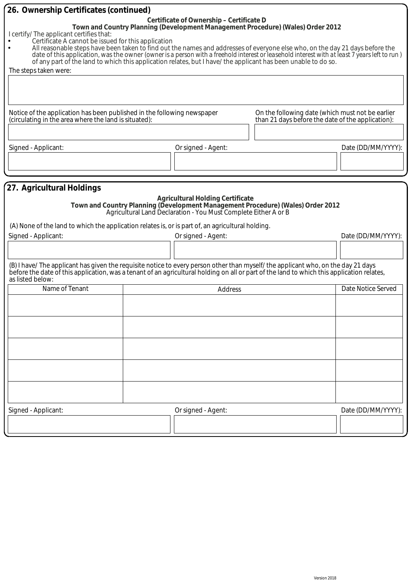| 26. Ownership Certificates (continued)                                                                                                                                                                                                                                                                                                                                                                                                                                                                                     |                                                                                                                                  |                                                                                                       |                    |
|----------------------------------------------------------------------------------------------------------------------------------------------------------------------------------------------------------------------------------------------------------------------------------------------------------------------------------------------------------------------------------------------------------------------------------------------------------------------------------------------------------------------------|----------------------------------------------------------------------------------------------------------------------------------|-------------------------------------------------------------------------------------------------------|--------------------|
| I certify/ The applicant certifies that:<br>Certificate A cannot be issued for this application<br>All reasonable steps have been taken to find out the names and addresses of everyone else who, on the day 21 days before the<br>date of this application, was the owner (owner is a person with a freehold interest or leasehold interest with at least 7 years left to run)<br>of any part of the land to which this application relates, but I have/ the applicant has been unable to do so.<br>The steps taken were: | Certificate of Ownership - Certificate D                                                                                         | Town and Country Planning (Development Management Procedure) (Wales) Order 2012                       |                    |
| Notice of the application has been published in the following newspaper<br>(circulating in the area where the land is situated):                                                                                                                                                                                                                                                                                                                                                                                           |                                                                                                                                  | On the following date (which must not be earlier<br>than 21 days before the date of the application): |                    |
|                                                                                                                                                                                                                                                                                                                                                                                                                                                                                                                            |                                                                                                                                  |                                                                                                       |                    |
| Signed - Applicant:                                                                                                                                                                                                                                                                                                                                                                                                                                                                                                        | Or signed - Agent:                                                                                                               |                                                                                                       | Date (DD/MM/YYYY): |
| (A) None of the land to which the application relates is, or is part of, an agricultural holding.<br>Signed - Applicant:                                                                                                                                                                                                                                                                                                                                                                                                   | <b>Agricultural Holding Certificate</b><br>Agricultural Land Declaration - You Must Complete Either A or B<br>Or signed - Agent: | Town and Country Planning (Development Management Procedure) (Wales) Order 2012                       | Date (DD/MM/YYYY): |
|                                                                                                                                                                                                                                                                                                                                                                                                                                                                                                                            |                                                                                                                                  |                                                                                                       |                    |
| (B) I have/The applicant has given the requisite notice to every person other than myself/the applicant who, on the day 21 days<br>before the date of this application, was a tenant of an agricultural holding on all or part of the land to which this application relates,<br>as listed below:                                                                                                                                                                                                                          |                                                                                                                                  |                                                                                                       |                    |
| Name of Tenant                                                                                                                                                                                                                                                                                                                                                                                                                                                                                                             | Address                                                                                                                          |                                                                                                       | Date Notice Served |
|                                                                                                                                                                                                                                                                                                                                                                                                                                                                                                                            |                                                                                                                                  |                                                                                                       |                    |
|                                                                                                                                                                                                                                                                                                                                                                                                                                                                                                                            |                                                                                                                                  |                                                                                                       |                    |
|                                                                                                                                                                                                                                                                                                                                                                                                                                                                                                                            |                                                                                                                                  |                                                                                                       |                    |
|                                                                                                                                                                                                                                                                                                                                                                                                                                                                                                                            |                                                                                                                                  |                                                                                                       |                    |
|                                                                                                                                                                                                                                                                                                                                                                                                                                                                                                                            |                                                                                                                                  |                                                                                                       |                    |
| Signed - Applicant:                                                                                                                                                                                                                                                                                                                                                                                                                                                                                                        | Or signed - Agent:                                                                                                               |                                                                                                       | Date (DD/MM/YYYY): |
|                                                                                                                                                                                                                                                                                                                                                                                                                                                                                                                            |                                                                                                                                  |                                                                                                       |                    |